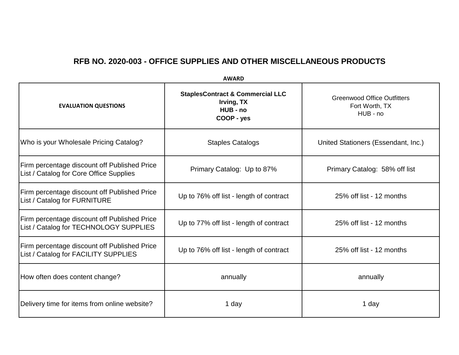**EVALUATION QUESTIONS StaplesContract & Commercial LLC Irving, TX HUB - no COOP - yes** Greenwood Office Outfitters Fort Worth, TX HUB - no Who is your Wholesale Pricing Catalog? (Staples Catalogs Textual Australian Cunited Stationers (Essendant, Inc.) Firm percentage discount off Published Price Print percentage discount on Publistica Price<br>List / Catalog for Core Office Supplies **Primary Catalog: Up to 87%** Primary Catalog: 58% off list Firm percentage discount off Published Price List / Catalog for FURNITURE **Up to 76% off list - length of contract** 25% off list - 12 months Firm percentage discount off Published Price List / Catalog for TECHNOLOGY SUPPLIES Up to 77% off list - length of contract 25% off list - 12 months Firm percentage discount off Published Price Thin percentage discount on Fubrished Price<br>List / Catalog for FACILITY SUPPLIES **Up to 76% off list - length of contract** How often does content change?  $\vert$  annually annually annually annually annually Delivery time for items from online website? 1 day 1 day

**AWARD**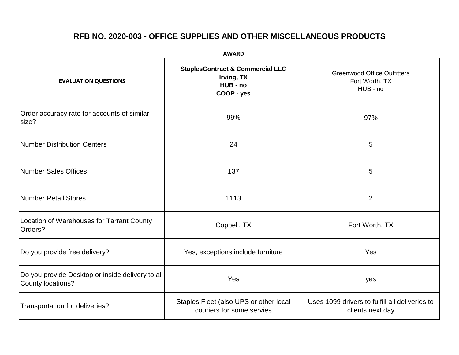| <b>AWARD</b>                                                          |                                                                                     |                                                                    |  |  |
|-----------------------------------------------------------------------|-------------------------------------------------------------------------------------|--------------------------------------------------------------------|--|--|
| <b>EVALUATION QUESTIONS</b>                                           | <b>StaplesContract &amp; Commercial LLC</b><br>Irving, TX<br>HUB - no<br>COOP - yes | <b>Greenwood Office Outfitters</b><br>Fort Worth, TX<br>HUB - no   |  |  |
| Order accuracy rate for accounts of similar<br>size?                  | 99%                                                                                 | 97%                                                                |  |  |
| <b>Number Distribution Centers</b>                                    | 24                                                                                  | 5                                                                  |  |  |
| <b>Number Sales Offices</b>                                           | 137                                                                                 | 5                                                                  |  |  |
| <b>Number Retail Stores</b>                                           | 1113                                                                                | $\overline{2}$                                                     |  |  |
| Location of Warehouses for Tarrant County<br>Orders?                  | Coppell, TX                                                                         | Fort Worth, TX                                                     |  |  |
| Do you provide free delivery?                                         | Yes, exceptions include furniture                                                   | Yes                                                                |  |  |
| Do you provide Desktop or inside delivery to all<br>County locations? | Yes                                                                                 | yes                                                                |  |  |
| Transportation for deliveries?                                        | Staples Fleet (also UPS or other local<br>couriers for some servies                 | Uses 1099 drivers to fulfill all deliveries to<br>clients next day |  |  |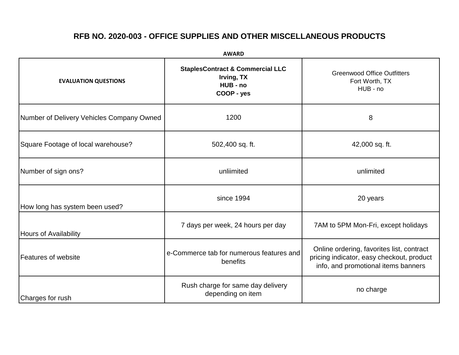| <b>AWARD</b>                              |                                                                                     |                                                                                                                               |  |  |
|-------------------------------------------|-------------------------------------------------------------------------------------|-------------------------------------------------------------------------------------------------------------------------------|--|--|
| <b>EVALUATION QUESTIONS</b>               | <b>StaplesContract &amp; Commercial LLC</b><br>Irving, TX<br>HUB - no<br>COOP - yes | <b>Greenwood Office Outfitters</b><br>Fort Worth, TX<br>HUB - no                                                              |  |  |
| Number of Delivery Vehicles Company Owned | 1200                                                                                | 8                                                                                                                             |  |  |
| Square Footage of local warehouse?        | 502,400 sq. ft.                                                                     | 42,000 sq. ft.                                                                                                                |  |  |
| Number of sign ons?                       | unliimited                                                                          | unlimited                                                                                                                     |  |  |
| How long has system been used?            | since 1994                                                                          | 20 years                                                                                                                      |  |  |
| <b>Hours of Availability</b>              | 7 days per week, 24 hours per day                                                   | 7AM to 5PM Mon-Fri, except holidays                                                                                           |  |  |
| Features of website                       | e-Commerce tab for numerous features and<br>benefits                                | Online ordering, favorites list, contract<br>pricing indicator, easy checkout, product<br>info, and promotional items banners |  |  |
| Charges for rush                          | Rush charge for same day delivery<br>depending on item                              | no charge                                                                                                                     |  |  |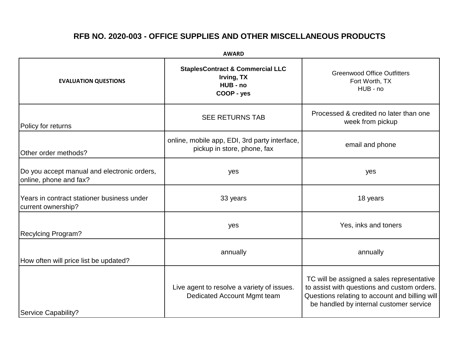**AWARD**

| <b>EVALUATION QUESTIONS</b>                                           | <b>StaplesContract &amp; Commercial LLC</b><br>Irving, TX<br>HUB - no<br>COOP - yes | <b>Greenwood Office Outfitters</b><br>Fort Worth, TX<br>HUB - no                                                                                                                       |
|-----------------------------------------------------------------------|-------------------------------------------------------------------------------------|----------------------------------------------------------------------------------------------------------------------------------------------------------------------------------------|
| Policy for returns                                                    | <b>SEE RETURNS TAB</b>                                                              | Processed & credited no later than one<br>week from pickup                                                                                                                             |
| Other order methods?                                                  | online, mobile app, EDI, 3rd party interface,<br>pickup in store, phone, fax        | email and phone                                                                                                                                                                        |
| Do you accept manual and electronic orders,<br>online, phone and fax? | yes                                                                                 | yes                                                                                                                                                                                    |
| Years in contract stationer business under<br>current ownership?      | 33 years                                                                            | 18 years                                                                                                                                                                               |
| <b>Recylcing Program?</b>                                             | yes                                                                                 | Yes, inks and toners                                                                                                                                                                   |
| How often will price list be updated?                                 | annually                                                                            | annually                                                                                                                                                                               |
| <b>Service Capability?</b>                                            | Live agent to resolve a variety of issues.<br>Dedicated Account Mgmt team           | TC will be assigned a sales representative<br>to assist with questions and custom orders.<br>Questions relating to account and billing will<br>be handled by internal customer service |